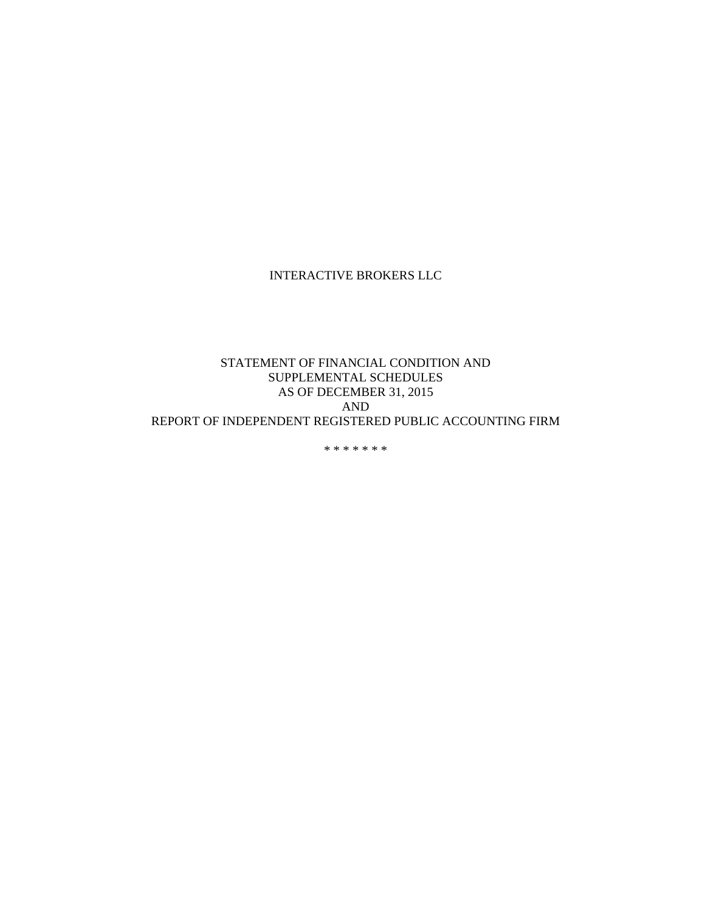## INTERACTIVE BROKERS LLC

## STATEMENT OF FINANCIAL CONDITION AND SUPPLEMENTAL SCHEDULES AS OF DECEMBER 31, 2015 AND REPORT OF INDEPENDENT REGISTERED PUBLIC ACCOUNTING FIRM

\* \* \* \* \* \* \*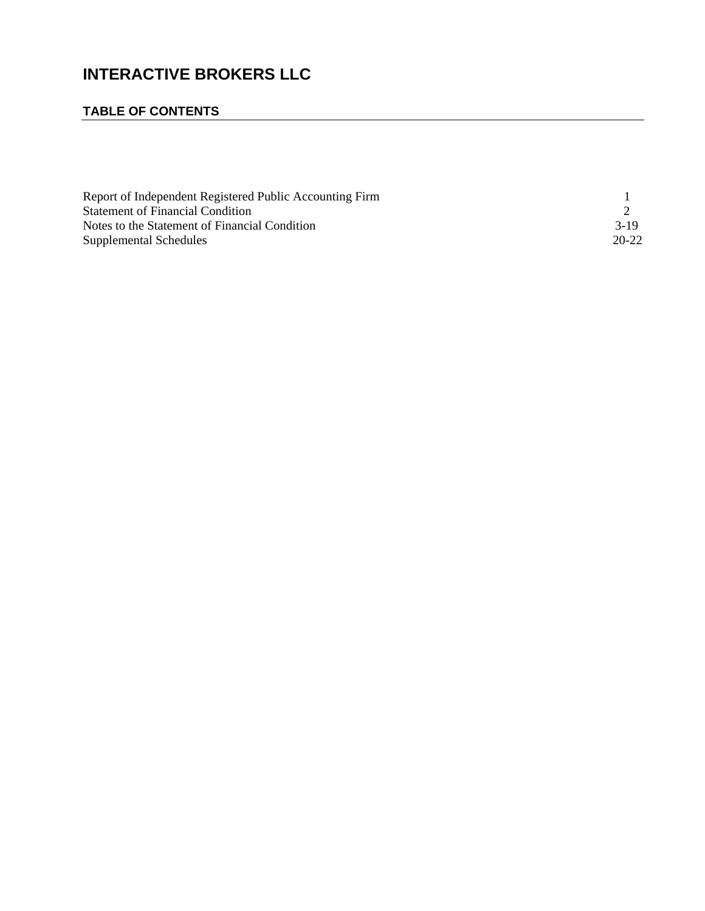# **INTERACTIVE BROKERS LLC**

## **TABLE OF CONTENTS**

| Report of Independent Registered Public Accounting Firm |           |
|---------------------------------------------------------|-----------|
| <b>Statement of Financial Condition</b>                 |           |
| Notes to the Statement of Financial Condition           | $3-19$    |
| Supplemental Schedules                                  | $20 - 22$ |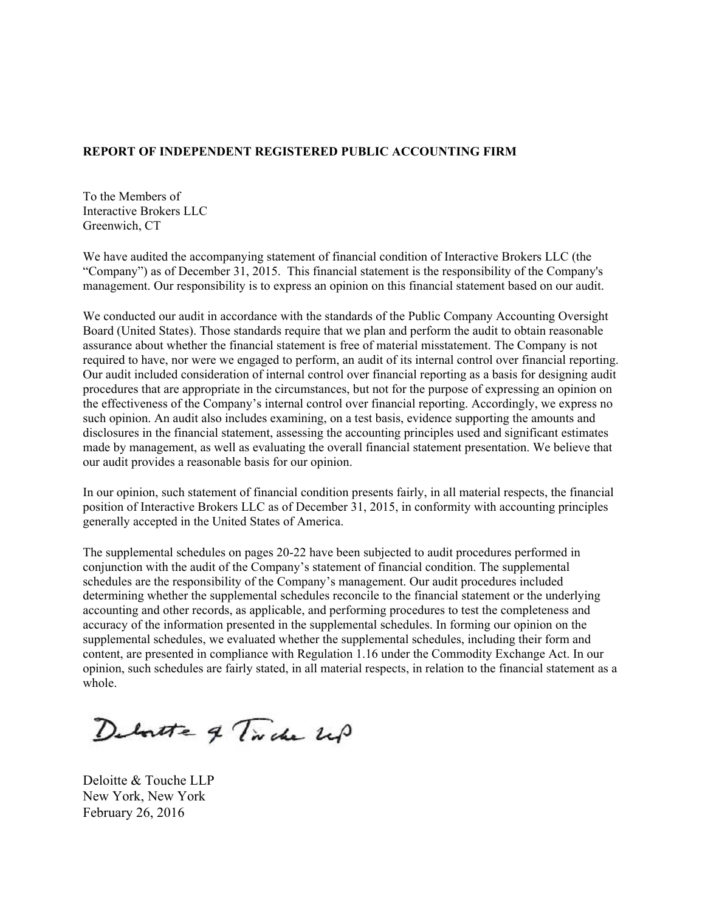## **REPORT OF INDEPENDENT REGISTERED PUBLIC ACCOUNTING FIRM**

To the Members of Interactive Brokers LLC Greenwich, CT

We have audited the accompanying statement of financial condition of Interactive Brokers LLC (the "Company") as of December 31, 2015. This financial statement is the responsibility of the Company's management. Our responsibility is to express an opinion on this financial statement based on our audit.

We conducted our audit in accordance with the standards of the Public Company Accounting Oversight Board (United States). Those standards require that we plan and perform the audit to obtain reasonable assurance about whether the financial statement is free of material misstatement. The Company is not required to have, nor were we engaged to perform, an audit of its internal control over financial reporting. Our audit included consideration of internal control over financial reporting as a basis for designing audit procedures that are appropriate in the circumstances, but not for the purpose of expressing an opinion on the effectiveness of the Company's internal control over financial reporting. Accordingly, we express no such opinion. An audit also includes examining, on a test basis, evidence supporting the amounts and disclosures in the financial statement, assessing the accounting principles used and significant estimates made by management, as well as evaluating the overall financial statement presentation. We believe that our audit provides a reasonable basis for our opinion.

In our opinion, such statement of financial condition presents fairly, in all material respects, the financial position of Interactive Brokers LLC as of December 31, 2015, in conformity with accounting principles generally accepted in the United States of America.

The supplemental schedules on pages 20-22 have been subjected to audit procedures performed in conjunction with the audit of the Company's statement of financial condition. The supplemental schedules are the responsibility of the Company's management. Our audit procedures included determining whether the supplemental schedules reconcile to the financial statement or the underlying accounting and other records, as applicable, and performing procedures to test the completeness and accuracy of the information presented in the supplemental schedules. In forming our opinion on the supplemental schedules, we evaluated whether the supplemental schedules, including their form and content, are presented in compliance with Regulation 1.16 under the Commodity Exchange Act. In our opinion, such schedules are fairly stated, in all material respects, in relation to the financial statement as a whole.

Deboutte of Tide up

Deloitte & Touche LLP New York, New York February 26, 2016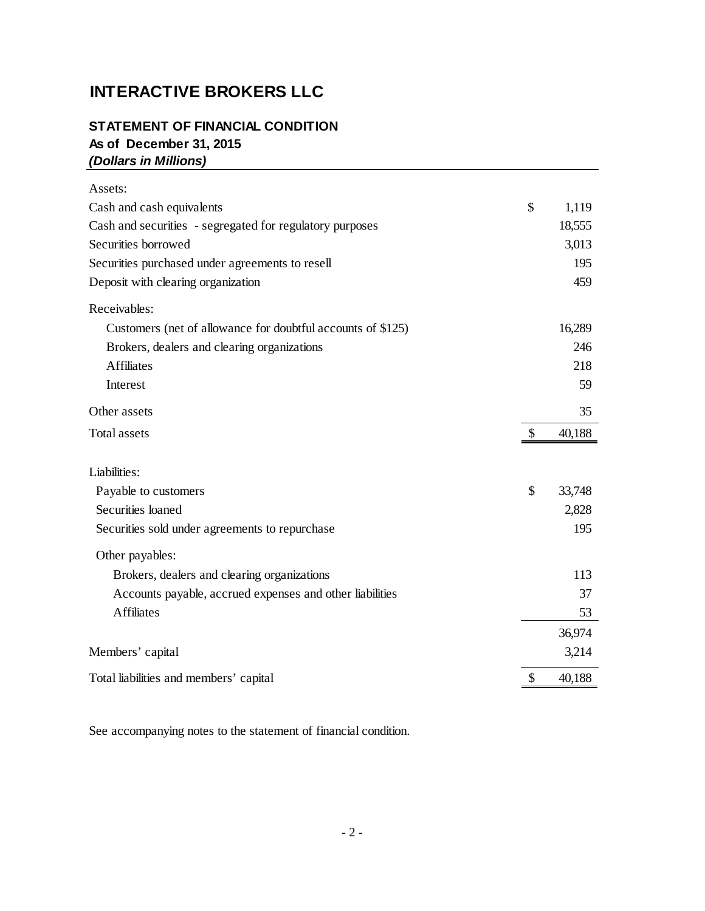# **INTERACTIVE BROKERS LLC**

## **STATEMENT OF FINANCIAL CONDITION As of December 31, 2015** *(Dollars in Millions)*

| Assets:                                                     |              |
|-------------------------------------------------------------|--------------|
| Cash and cash equivalents                                   | \$<br>1,119  |
| Cash and securities - segregated for regulatory purposes    | 18,555       |
| Securities borrowed                                         | 3,013        |
| Securities purchased under agreements to resell             | 195          |
| Deposit with clearing organization                          | 459          |
| Receivables:                                                |              |
| Customers (net of allowance for doubtful accounts of \$125) | 16,289       |
| Brokers, dealers and clearing organizations                 | 246          |
| <b>Affiliates</b>                                           | 218          |
| Interest                                                    | 59           |
| Other assets                                                | 35           |
| <b>Total assets</b>                                         | \$<br>40,188 |
| Liabilities:                                                |              |
| Payable to customers                                        | \$<br>33,748 |
| Securities loaned                                           | 2,828        |
| Securities sold under agreements to repurchase              | 195          |
| Other payables:                                             |              |
| Brokers, dealers and clearing organizations                 | 113          |
| Accounts payable, accrued expenses and other liabilities    | 37           |
| <b>Affiliates</b>                                           | 53           |
|                                                             | 36,974       |
| Members' capital                                            | 3,214        |
| Total liabilities and members' capital                      | 40,188       |

See accompanying notes to the statement of financial condition.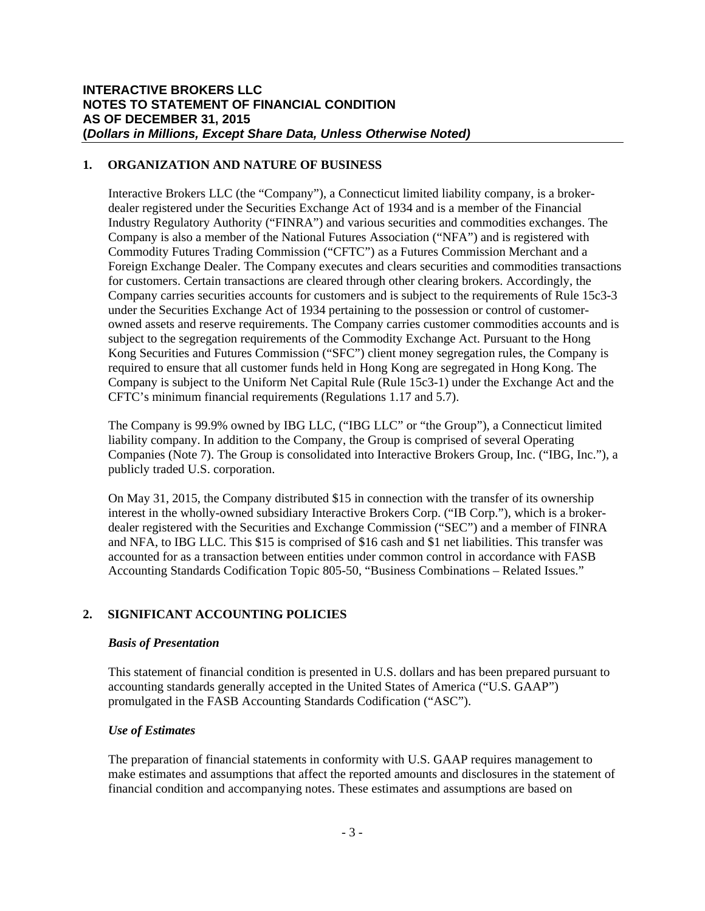## **1. ORGANIZATION AND NATURE OF BUSINESS**

Interactive Brokers LLC (the "Company"), a Connecticut limited liability company, is a brokerdealer registered under the Securities Exchange Act of 1934 and is a member of the Financial Industry Regulatory Authority ("FINRA") and various securities and commodities exchanges. The Company is also a member of the National Futures Association ("NFA") and is registered with Commodity Futures Trading Commission ("CFTC") as a Futures Commission Merchant and a Foreign Exchange Dealer. The Company executes and clears securities and commodities transactions for customers. Certain transactions are cleared through other clearing brokers. Accordingly, the Company carries securities accounts for customers and is subject to the requirements of Rule 15c3-3 under the Securities Exchange Act of 1934 pertaining to the possession or control of customerowned assets and reserve requirements. The Company carries customer commodities accounts and is subject to the segregation requirements of the Commodity Exchange Act. Pursuant to the Hong Kong Securities and Futures Commission ("SFC") client money segregation rules, the Company is required to ensure that all customer funds held in Hong Kong are segregated in Hong Kong. The Company is subject to the Uniform Net Capital Rule (Rule 15c3-1) under the Exchange Act and the CFTC's minimum financial requirements (Regulations 1.17 and 5.7).

The Company is 99.9% owned by IBG LLC, ("IBG LLC" or "the Group"), a Connecticut limited liability company. In addition to the Company, the Group is comprised of several Operating Companies (Note 7). The Group is consolidated into Interactive Brokers Group, Inc. ("IBG, Inc."), a publicly traded U.S. corporation.

On May 31, 2015, the Company distributed \$15 in connection with the transfer of its ownership interest in the wholly-owned subsidiary Interactive Brokers Corp. ("IB Corp."), which is a brokerdealer registered with the Securities and Exchange Commission ("SEC") and a member of FINRA and NFA, to IBG LLC. This \$15 is comprised of \$16 cash and \$1 net liabilities. This transfer was accounted for as a transaction between entities under common control in accordance with FASB Accounting Standards Codification Topic 805-50, "Business Combinations – Related Issues."

## **2. SIGNIFICANT ACCOUNTING POLICIES**

## *Basis of Presentation*

This statement of financial condition is presented in U.S. dollars and has been prepared pursuant to accounting standards generally accepted in the United States of America ("U.S. GAAP") promulgated in the FASB Accounting Standards Codification ("ASC").

## *Use of Estimates*

The preparation of financial statements in conformity with U.S. GAAP requires management to make estimates and assumptions that affect the reported amounts and disclosures in the statement of financial condition and accompanying notes. These estimates and assumptions are based on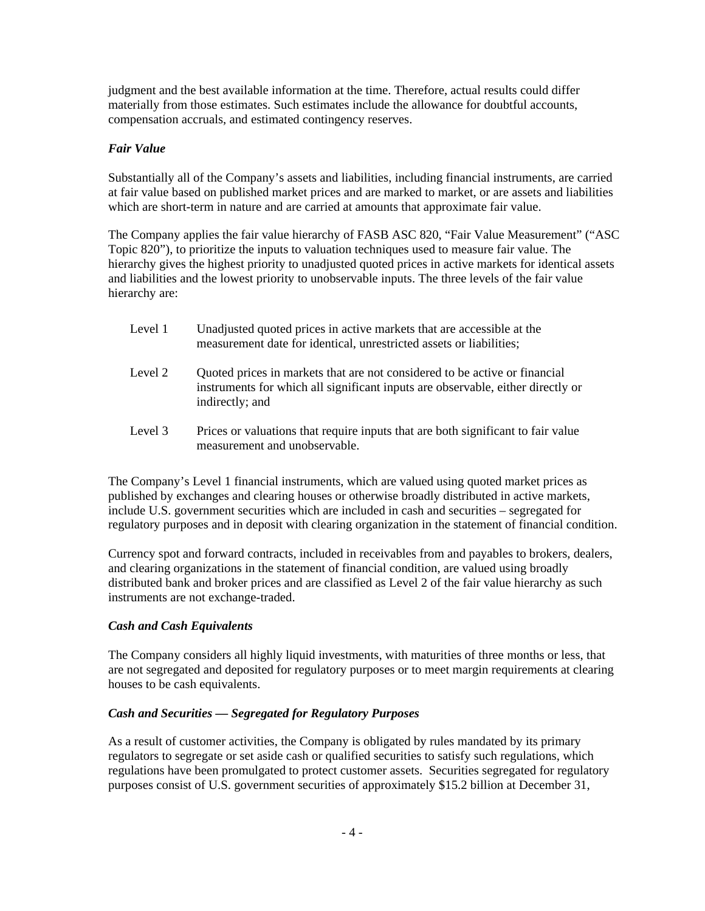judgment and the best available information at the time. Therefore, actual results could differ materially from those estimates. Such estimates include the allowance for doubtful accounts, compensation accruals, and estimated contingency reserves.

## *Fair Value*

Substantially all of the Company's assets and liabilities, including financial instruments, are carried at fair value based on published market prices and are marked to market, or are assets and liabilities which are short-term in nature and are carried at amounts that approximate fair value.

The Company applies the fair value hierarchy of FASB ASC 820, "Fair Value Measurement" ("ASC Topic 820"), to prioritize the inputs to valuation techniques used to measure fair value. The hierarchy gives the highest priority to unadjusted quoted prices in active markets for identical assets and liabilities and the lowest priority to unobservable inputs. The three levels of the fair value hierarchy are:

- Level 1 Unadjusted quoted prices in active markets that are accessible at the measurement date for identical, unrestricted assets or liabilities;
- Level 2 Quoted prices in markets that are not considered to be active or financial instruments for which all significant inputs are observable, either directly or indirectly; and
- Level 3 Prices or valuations that require inputs that are both significant to fair value measurement and unobservable.

The Company's Level 1 financial instruments, which are valued using quoted market prices as published by exchanges and clearing houses or otherwise broadly distributed in active markets, include U.S. government securities which are included in cash and securities – segregated for regulatory purposes and in deposit with clearing organization in the statement of financial condition.

Currency spot and forward contracts, included in receivables from and payables to brokers, dealers, and clearing organizations in the statement of financial condition, are valued using broadly distributed bank and broker prices and are classified as Level 2 of the fair value hierarchy as such instruments are not exchange-traded.

## *Cash and Cash Equivalents*

The Company considers all highly liquid investments, with maturities of three months or less, that are not segregated and deposited for regulatory purposes or to meet margin requirements at clearing houses to be cash equivalents.

## *Cash and Securities — Segregated for Regulatory Purposes*

As a result of customer activities, the Company is obligated by rules mandated by its primary regulators to segregate or set aside cash or qualified securities to satisfy such regulations, which regulations have been promulgated to protect customer assets. Securities segregated for regulatory purposes consist of U.S. government securities of approximately \$15.2 billion at December 31,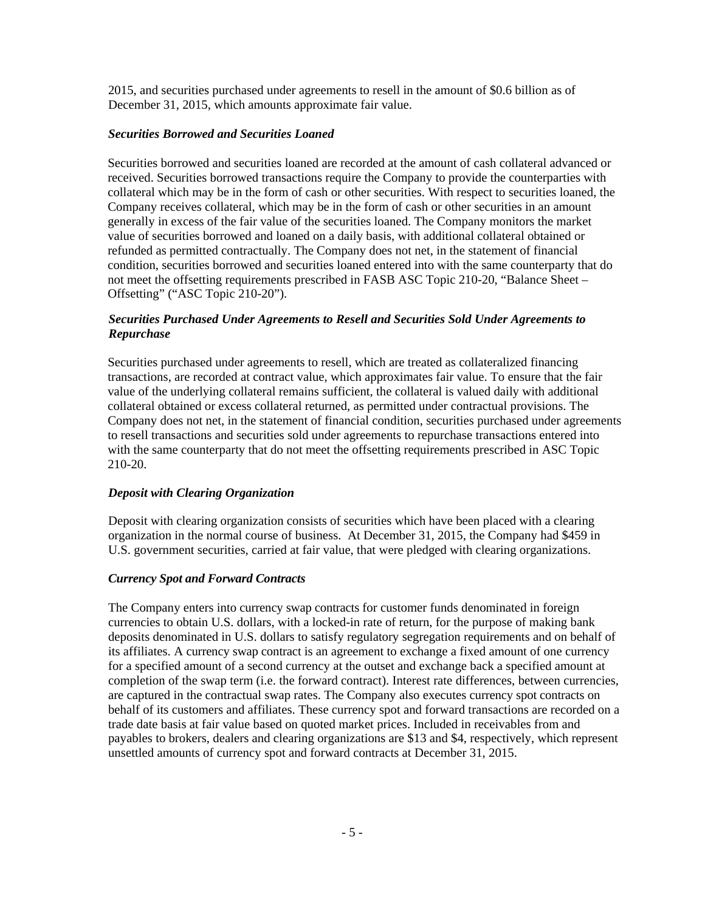2015, and securities purchased under agreements to resell in the amount of \$0.6 billion as of December 31, 2015, which amounts approximate fair value.

### *Securities Borrowed and Securities Loaned*

Securities borrowed and securities loaned are recorded at the amount of cash collateral advanced or received. Securities borrowed transactions require the Company to provide the counterparties with collateral which may be in the form of cash or other securities. With respect to securities loaned, the Company receives collateral, which may be in the form of cash or other securities in an amount generally in excess of the fair value of the securities loaned. The Company monitors the market value of securities borrowed and loaned on a daily basis, with additional collateral obtained or refunded as permitted contractually. The Company does not net, in the statement of financial condition, securities borrowed and securities loaned entered into with the same counterparty that do not meet the offsetting requirements prescribed in FASB ASC Topic 210-20, "Balance Sheet – Offsetting" ("ASC Topic 210-20").

## *Securities Purchased Under Agreements to Resell and Securities Sold Under Agreements to Repurchase*

Securities purchased under agreements to resell, which are treated as collateralized financing transactions, are recorded at contract value, which approximates fair value. To ensure that the fair value of the underlying collateral remains sufficient, the collateral is valued daily with additional collateral obtained or excess collateral returned, as permitted under contractual provisions. The Company does not net, in the statement of financial condition, securities purchased under agreements to resell transactions and securities sold under agreements to repurchase transactions entered into with the same counterparty that do not meet the offsetting requirements prescribed in ASC Topic 210-20.

## *Deposit with Clearing Organization*

Deposit with clearing organization consists of securities which have been placed with a clearing organization in the normal course of business. At December 31, 2015, the Company had \$459 in U.S. government securities, carried at fair value, that were pledged with clearing organizations.

#### *Currency Spot and Forward Contracts*

The Company enters into currency swap contracts for customer funds denominated in foreign currencies to obtain U.S. dollars, with a locked-in rate of return, for the purpose of making bank deposits denominated in U.S. dollars to satisfy regulatory segregation requirements and on behalf of its affiliates. A currency swap contract is an agreement to exchange a fixed amount of one currency for a specified amount of a second currency at the outset and exchange back a specified amount at completion of the swap term (i.e. the forward contract). Interest rate differences, between currencies, are captured in the contractual swap rates. The Company also executes currency spot contracts on behalf of its customers and affiliates. These currency spot and forward transactions are recorded on a trade date basis at fair value based on quoted market prices. Included in receivables from and payables to brokers, dealers and clearing organizations are \$13 and \$4, respectively, which represent unsettled amounts of currency spot and forward contracts at December 31, 2015.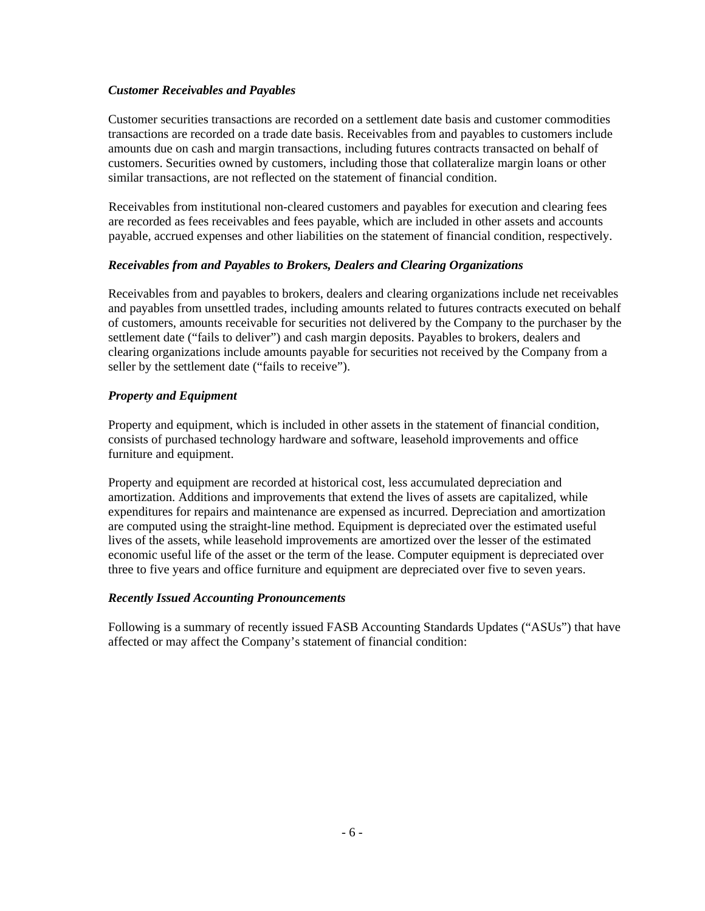## *Customer Receivables and Payables*

Customer securities transactions are recorded on a settlement date basis and customer commodities transactions are recorded on a trade date basis. Receivables from and payables to customers include amounts due on cash and margin transactions, including futures contracts transacted on behalf of customers. Securities owned by customers, including those that collateralize margin loans or other similar transactions, are not reflected on the statement of financial condition.

Receivables from institutional non-cleared customers and payables for execution and clearing fees are recorded as fees receivables and fees payable, which are included in other assets and accounts payable, accrued expenses and other liabilities on the statement of financial condition, respectively.

## *Receivables from and Payables to Brokers, Dealers and Clearing Organizations*

Receivables from and payables to brokers, dealers and clearing organizations include net receivables and payables from unsettled trades, including amounts related to futures contracts executed on behalf of customers, amounts receivable for securities not delivered by the Company to the purchaser by the settlement date ("fails to deliver") and cash margin deposits. Payables to brokers, dealers and clearing organizations include amounts payable for securities not received by the Company from a seller by the settlement date ("fails to receive").

## *Property and Equipment*

Property and equipment, which is included in other assets in the statement of financial condition, consists of purchased technology hardware and software, leasehold improvements and office furniture and equipment.

Property and equipment are recorded at historical cost, less accumulated depreciation and amortization. Additions and improvements that extend the lives of assets are capitalized, while expenditures for repairs and maintenance are expensed as incurred. Depreciation and amortization are computed using the straight-line method. Equipment is depreciated over the estimated useful lives of the assets, while leasehold improvements are amortized over the lesser of the estimated economic useful life of the asset or the term of the lease. Computer equipment is depreciated over three to five years and office furniture and equipment are depreciated over five to seven years.

## *Recently Issued Accounting Pronouncements*

Following is a summary of recently issued FASB Accounting Standards Updates ("ASUs") that have affected or may affect the Company's statement of financial condition: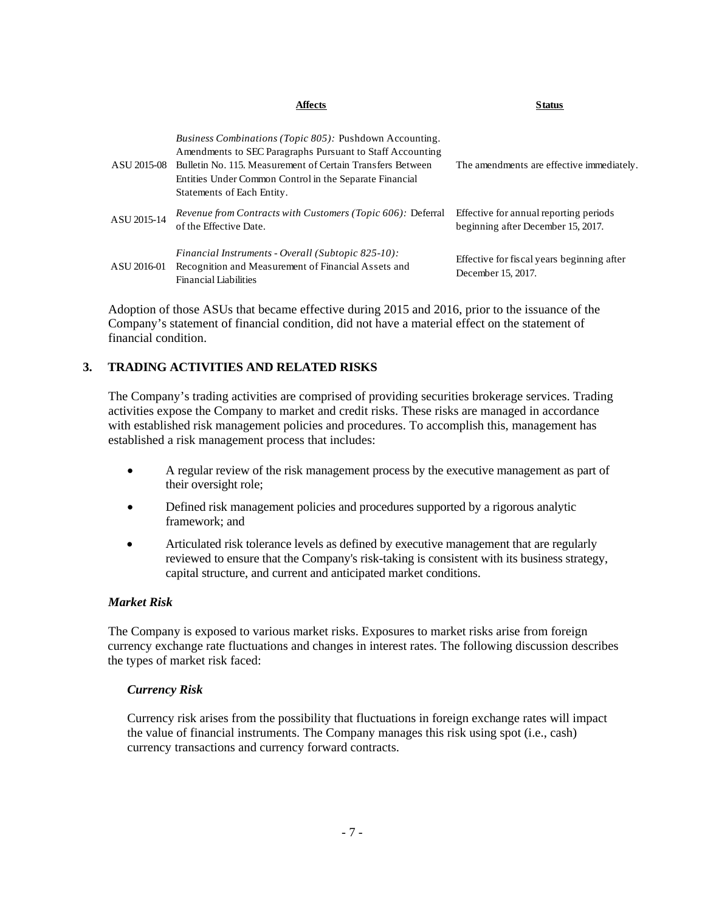|             | Affects                                                                                                                                                                                                                                                                            | <b>Status</b>                                                                |
|-------------|------------------------------------------------------------------------------------------------------------------------------------------------------------------------------------------------------------------------------------------------------------------------------------|------------------------------------------------------------------------------|
| ASU 2015-08 | <i>Business Combinations (Topic 805):</i> Pushdown Accounting.<br>Amendments to SEC Paragraphs Pursuant to Staff Accounting<br>Bulletin No. 115, Measurement of Certain Transfers Between<br>Entities Under Common Control in the Separate Financial<br>Statements of Each Entity. | The amendments are effective immediately.                                    |
| ASU 2015-14 | <i>Revenue from Contracts with Customers (Topic 606): Deferral</i><br>of the Effective Date.                                                                                                                                                                                       | Effective for annual reporting periods<br>beginning after December 15, 2017. |
| ASU 2016-01 | Financial Instruments - Overall (Subtopic 825-10):<br>Recognition and Measurement of Financial Assets and<br><b>Financial Liabilities</b>                                                                                                                                          | Effective for fiscal years beginning after<br>December 15, 2017.             |

Adoption of those ASUs that became effective during 2015 and 2016, prior to the issuance of the Company's statement of financial condition, did not have a material effect on the statement of financial condition.

## **3. TRADING ACTIVITIES AND RELATED RISKS**

The Company's trading activities are comprised of providing securities brokerage services. Trading activities expose the Company to market and credit risks. These risks are managed in accordance with established risk management policies and procedures. To accomplish this, management has established a risk management process that includes:

- A regular review of the risk management process by the executive management as part of their oversight role;
- Defined risk management policies and procedures supported by a rigorous analytic framework; and
- Articulated risk tolerance levels as defined by executive management that are regularly reviewed to ensure that the Company's risk-taking is consistent with its business strategy, capital structure, and current and anticipated market conditions.

### *Market Risk*

 The Company is exposed to various market risks. Exposures to market risks arise from foreign currency exchange rate fluctuations and changes in interest rates. The following discussion describes the types of market risk faced:

#### *Currency Risk*

Currency risk arises from the possibility that fluctuations in foreign exchange rates will impact the value of financial instruments. The Company manages this risk using spot (i.e., cash) currency transactions and currency forward contracts.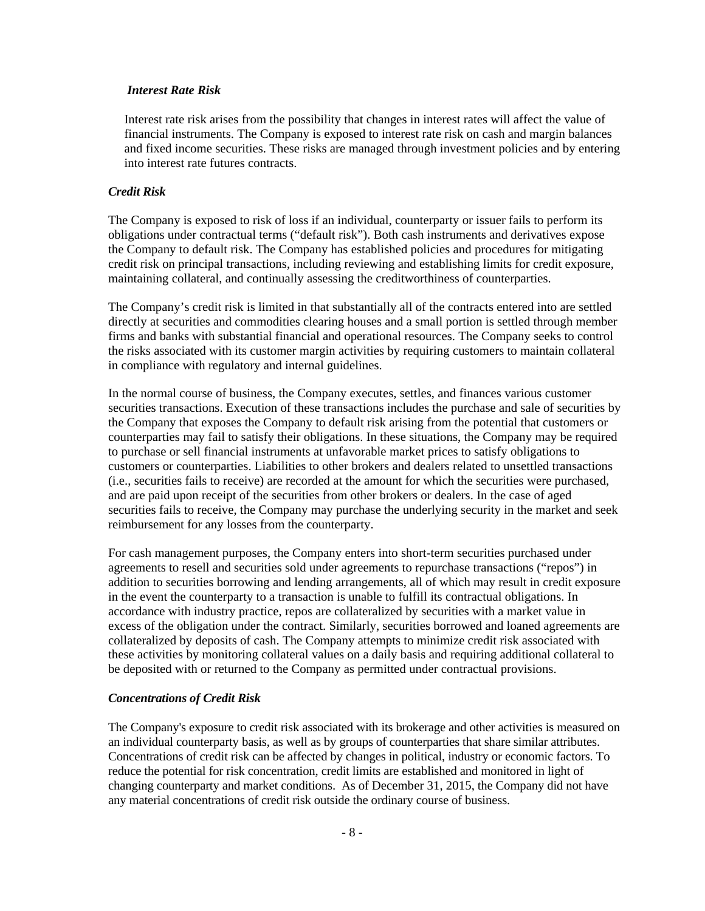#### *Interest Rate Risk*

Interest rate risk arises from the possibility that changes in interest rates will affect the value of financial instruments. The Company is exposed to interest rate risk on cash and margin balances and fixed income securities. These risks are managed through investment policies and by entering into interest rate futures contracts.

#### *Credit Risk*

The Company is exposed to risk of loss if an individual, counterparty or issuer fails to perform its obligations under contractual terms ("default risk"). Both cash instruments and derivatives expose the Company to default risk. The Company has established policies and procedures for mitigating credit risk on principal transactions, including reviewing and establishing limits for credit exposure, maintaining collateral, and continually assessing the creditworthiness of counterparties.

The Company's credit risk is limited in that substantially all of the contracts entered into are settled directly at securities and commodities clearing houses and a small portion is settled through member firms and banks with substantial financial and operational resources. The Company seeks to control the risks associated with its customer margin activities by requiring customers to maintain collateral in compliance with regulatory and internal guidelines.

In the normal course of business, the Company executes, settles, and finances various customer securities transactions. Execution of these transactions includes the purchase and sale of securities by the Company that exposes the Company to default risk arising from the potential that customers or counterparties may fail to satisfy their obligations. In these situations, the Company may be required to purchase or sell financial instruments at unfavorable market prices to satisfy obligations to customers or counterparties. Liabilities to other brokers and dealers related to unsettled transactions (i.e., securities fails to receive) are recorded at the amount for which the securities were purchased, and are paid upon receipt of the securities from other brokers or dealers. In the case of aged securities fails to receive, the Company may purchase the underlying security in the market and seek reimbursement for any losses from the counterparty.

For cash management purposes, the Company enters into short-term securities purchased under agreements to resell and securities sold under agreements to repurchase transactions ("repos") in addition to securities borrowing and lending arrangements, all of which may result in credit exposure in the event the counterparty to a transaction is unable to fulfill its contractual obligations. In accordance with industry practice, repos are collateralized by securities with a market value in excess of the obligation under the contract. Similarly, securities borrowed and loaned agreements are collateralized by deposits of cash. The Company attempts to minimize credit risk associated with these activities by monitoring collateral values on a daily basis and requiring additional collateral to be deposited with or returned to the Company as permitted under contractual provisions.

#### *Concentrations of Credit Risk*

The Company's exposure to credit risk associated with its brokerage and other activities is measured on an individual counterparty basis, as well as by groups of counterparties that share similar attributes. Concentrations of credit risk can be affected by changes in political, industry or economic factors. To reduce the potential for risk concentration, credit limits are established and monitored in light of changing counterparty and market conditions. As of December 31, 2015, the Company did not have any material concentrations of credit risk outside the ordinary course of business.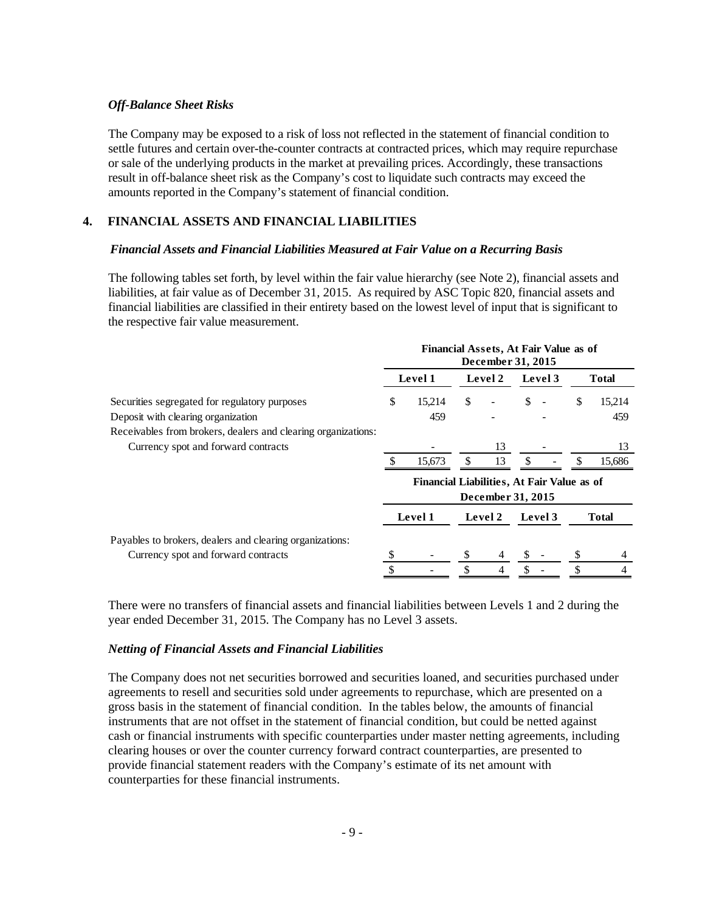#### *Off-Balance Sheet Risks*

The Company may be exposed to a risk of loss not reflected in the statement of financial condition to settle futures and certain over-the-counter contracts at contracted prices, which may require repurchase or sale of the underlying products in the market at prevailing prices. Accordingly, these transactions result in off-balance sheet risk as the Company's cost to liquidate such contracts may exceed the amounts reported in the Company's statement of financial condition.

## **4. FINANCIAL ASSETS AND FINANCIAL LIABILITIES**

#### *Financial Assets and Financial Liabilities Measured at Fair Value on a Recurring Basis*

The following tables set forth, by level within the fair value hierarchy (see Note 2), financial assets and liabilities, at fair value as of December 31, 2015. As required by ASC Topic 820, financial assets and financial liabilities are classified in their entirety based on the lowest level of input that is significant to the respective fair value measurement.

|                                                               | Financial Assets, At Fair Value as of<br>December 31, 2015 |                                            |     |                   |               |         |     |              |
|---------------------------------------------------------------|------------------------------------------------------------|--------------------------------------------|-----|-------------------|---------------|---------|-----|--------------|
|                                                               |                                                            | Level 1                                    |     | Level 2           |               | Level 3 |     | <b>Total</b> |
| Securities segregated for regulatory purposes                 | \$                                                         | 15.214                                     | \$  |                   | \$            |         | S   | 15,214       |
| Deposit with clearing organization                            |                                                            | 459                                        |     |                   |               |         |     | 459          |
| Receivables from brokers, dealers and clearing organizations: |                                                            |                                            |     |                   |               |         |     |              |
| Currency spot and forward contracts                           |                                                            |                                            |     | 13                |               |         |     | 13           |
|                                                               |                                                            | 15,673                                     | \$. | 13                | <sup>\$</sup> |         | \$. | 15,686       |
|                                                               |                                                            | Financial Liabilities, At Fair Value as of |     |                   |               |         |     |              |
|                                                               |                                                            |                                            |     | December 31, 2015 |               |         |     |              |
|                                                               |                                                            | Level 1                                    |     | Level 2           | Level 3       |         |     | Total        |
| Payables to brokers, dealers and clearing organizations:      |                                                            |                                            |     |                   |               |         |     |              |
| Currency spot and forward contracts                           |                                                            |                                            |     |                   |               |         |     | 4            |
|                                                               | \$                                                         |                                            |     | 4                 |               |         |     | 4            |

There were no transfers of financial assets and financial liabilities between Levels 1 and 2 during the year ended December 31, 2015. The Company has no Level 3 assets.

#### *Netting of Financial Assets and Financial Liabilities*

The Company does not net securities borrowed and securities loaned, and securities purchased under agreements to resell and securities sold under agreements to repurchase, which are presented on a gross basis in the statement of financial condition. In the tables below, the amounts of financial instruments that are not offset in the statement of financial condition, but could be netted against cash or financial instruments with specific counterparties under master netting agreements, including clearing houses or over the counter currency forward contract counterparties, are presented to provide financial statement readers with the Company's estimate of its net amount with counterparties for these financial instruments.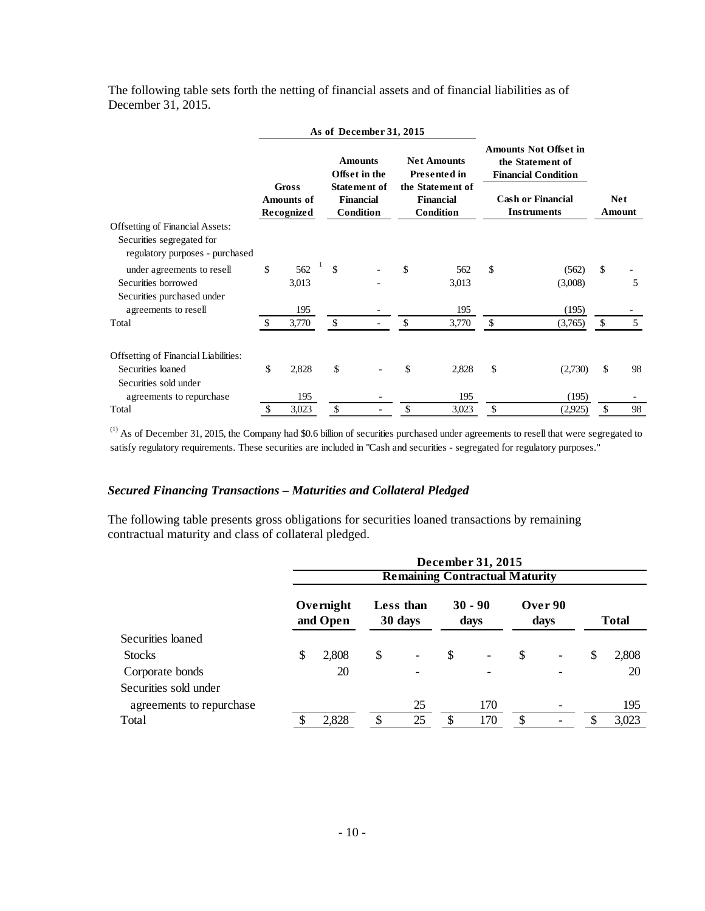The following table sets forth the netting of financial assets and of financial liabilities as of December 31, 2015.

|                                                              | As of December 31, 2015                         |       |               |                                                                              |    |           |               |                                                                                |              |        |  |  |  |  |  |  |  |  |  |  |  |  |                                         |  |                                      |  |                          |  |            |  |
|--------------------------------------------------------------|-------------------------------------------------|-------|---------------|------------------------------------------------------------------------------|----|-----------|---------------|--------------------------------------------------------------------------------|--------------|--------|--|--|--|--|--|--|--|--|--|--|--|--|-----------------------------------------|--|--------------------------------------|--|--------------------------|--|------------|--|
|                                                              |                                                 |       |               | <b>Net Amounts</b><br><b>Amounts</b><br>Offset in the<br><b>Presented in</b> |    |           |               | <b>Amounts Not Offset in</b><br>the Statement of<br><b>Financial Condition</b> |              |        |  |  |  |  |  |  |  |  |  |  |  |  |                                         |  |                                      |  |                          |  |            |  |
|                                                              | <b>Gross</b><br><b>Amounts of</b><br>Recognized |       |               |                                                                              |    |           |               |                                                                                |              |        |  |  |  |  |  |  |  |  |  |  |  |  | <b>Statement of</b><br><b>Financial</b> |  | the Statement of<br><b>Financial</b> |  | <b>Cash or Financial</b> |  | <b>Net</b> |  |
|                                                              |                                                 |       |               | Condition                                                                    |    | Condition |               | <b>Instruments</b>                                                             |              | Amount |  |  |  |  |  |  |  |  |  |  |  |  |                                         |  |                                      |  |                          |  |            |  |
| <b>Offsetting of Financial Assets:</b>                       |                                                 |       |               |                                                                              |    |           |               |                                                                                |              |        |  |  |  |  |  |  |  |  |  |  |  |  |                                         |  |                                      |  |                          |  |            |  |
| Securities segregated for<br>regulatory purposes - purchased |                                                 |       |               |                                                                              |    |           |               |                                                                                |              |        |  |  |  |  |  |  |  |  |  |  |  |  |                                         |  |                                      |  |                          |  |            |  |
| under agreements to resell                                   | \$                                              | 562   | <sup>\$</sup> |                                                                              | \$ | 562       | <sup>\$</sup> | (562)                                                                          | \$           |        |  |  |  |  |  |  |  |  |  |  |  |  |                                         |  |                                      |  |                          |  |            |  |
| Securities borrowed                                          |                                                 | 3,013 |               |                                                                              |    | 3,013     |               | (3,008)                                                                        |              | 5      |  |  |  |  |  |  |  |  |  |  |  |  |                                         |  |                                      |  |                          |  |            |  |
| Securities purchased under                                   |                                                 |       |               |                                                                              |    |           |               |                                                                                |              |        |  |  |  |  |  |  |  |  |  |  |  |  |                                         |  |                                      |  |                          |  |            |  |
| agreements to resell                                         |                                                 | 195   |               |                                                                              |    | 195       |               | (195)                                                                          |              |        |  |  |  |  |  |  |  |  |  |  |  |  |                                         |  |                                      |  |                          |  |            |  |
| Total                                                        |                                                 | 3,770 | \$            |                                                                              |    | 3,770     | \$.           | (3,765)                                                                        | \$           | 5      |  |  |  |  |  |  |  |  |  |  |  |  |                                         |  |                                      |  |                          |  |            |  |
| <b>Offsetting of Financial Liabilities:</b>                  |                                                 |       |               |                                                                              |    |           |               |                                                                                |              |        |  |  |  |  |  |  |  |  |  |  |  |  |                                         |  |                                      |  |                          |  |            |  |
| Securities loaned                                            | \$                                              | 2,828 | \$            |                                                                              | \$ | 2,828     | \$            | (2,730)                                                                        | $\mathbb{S}$ | 98     |  |  |  |  |  |  |  |  |  |  |  |  |                                         |  |                                      |  |                          |  |            |  |
| Securities sold under                                        |                                                 |       |               |                                                                              |    |           |               |                                                                                |              |        |  |  |  |  |  |  |  |  |  |  |  |  |                                         |  |                                      |  |                          |  |            |  |
| agreements to repurchase                                     |                                                 | 195   |               |                                                                              |    | 195       |               | (195)                                                                          |              |        |  |  |  |  |  |  |  |  |  |  |  |  |                                         |  |                                      |  |                          |  |            |  |
| Total                                                        | \$                                              | 3,023 | \$            |                                                                              | \$ | 3,023     | \$            | (2,925)                                                                        | \$           | 98     |  |  |  |  |  |  |  |  |  |  |  |  |                                         |  |                                      |  |                          |  |            |  |

(1) As of December 31, 2015, the Company had \$0.6 billion of securities purchased under agreements to resell that were segregated to satisfy regulatory requirements. These securities are included in "Cash and securities - segregated for regulatory purposes."

## *Secured Financing Transactions – Maturities and Collateral Pledged*

The following table presents gross obligations for securities loaned transactions by remaining contractual maturity and class of collateral pledged.

|                          | December 31, 2015<br><b>Remaining Contractual Maturity</b> |                       |    |                          |    |                          |    |                          |    |              |
|--------------------------|------------------------------------------------------------|-----------------------|----|--------------------------|----|--------------------------|----|--------------------------|----|--------------|
|                          |                                                            | Overnight<br>and Open |    | Less than<br>30 days     |    | $30 - 90$<br>days        |    | Over 90<br>days          |    | <b>Total</b> |
| Securities loaned        |                                                            |                       |    |                          |    |                          |    |                          |    |              |
| <b>Stocks</b>            | \$                                                         | 2,808                 | \$ | $\overline{\phantom{a}}$ | \$ | $\overline{\phantom{a}}$ | \$ | $\overline{\phantom{0}}$ | \$ | 2,808        |
| Corporate bonds          |                                                            | 20                    |    |                          |    |                          |    |                          |    | 20           |
| Securities sold under    |                                                            |                       |    |                          |    |                          |    |                          |    |              |
| agreements to repurchase |                                                            |                       |    | 25                       |    | 170                      |    |                          |    | 195          |
| Total                    |                                                            | 2,828                 | ¢  | 25                       |    | 170                      |    |                          |    | 3,023        |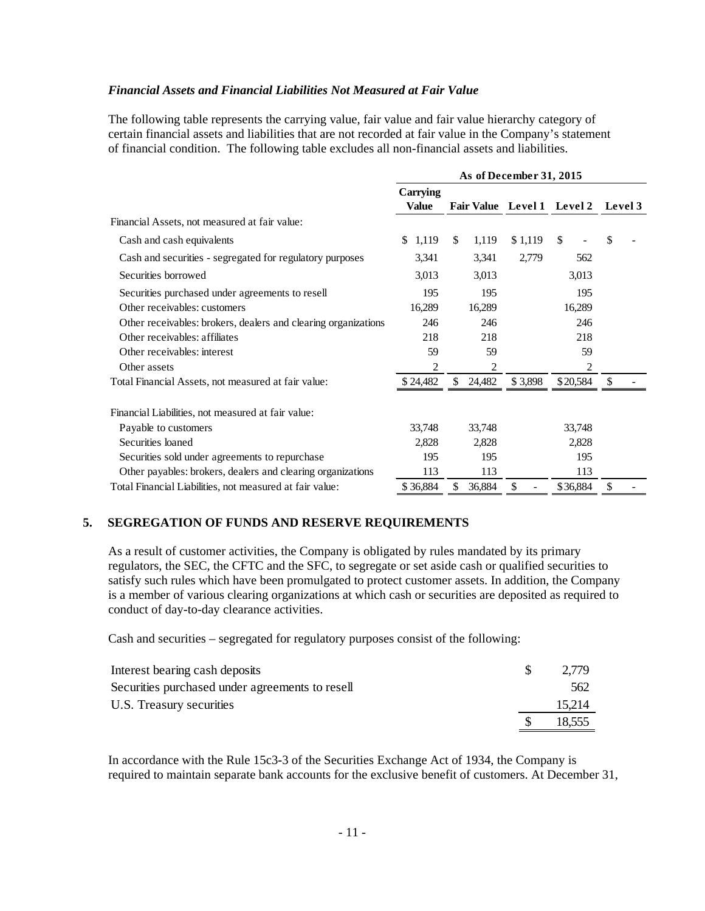#### *Financial Assets and Financial Liabilities Not Measured at Fair Value*

The following table represents the carrying value, fair value and fair value hierarchy category of certain financial assets and liabilities that are not recorded at fair value in the Company's statement of financial condition. The following table excludes all non-financial assets and liabilities.

|                                                                | As of December 31, 2015  |                            |         |               |                |  |  |  |
|----------------------------------------------------------------|--------------------------|----------------------------|---------|---------------|----------------|--|--|--|
|                                                                | Carrying<br><b>Value</b> | Fair Value Level 1 Level 2 |         |               | <b>Level 3</b> |  |  |  |
| Financial Assets, not measured at fair value:                  |                          |                            |         |               |                |  |  |  |
| Cash and cash equivalents                                      | 1,119<br>\$              | \$<br>1,119                | \$1,119 | <sup>\$</sup> | \$             |  |  |  |
| Cash and securities - segregated for regulatory purposes       | 3,341                    | 3,341                      | 2,779   | 562           |                |  |  |  |
| Securities borrowed                                            | 3,013                    | 3,013                      |         | 3,013         |                |  |  |  |
| Securities purchased under agreements to resell                | 195                      | 195                        |         | 195           |                |  |  |  |
| Other receivables: customers                                   | 16,289                   | 16,289                     |         | 16,289        |                |  |  |  |
| Other receivables: brokers, dealers and clearing organizations | 246                      | 246                        |         | 246           |                |  |  |  |
| Other receivables: affiliates                                  | 218                      | 218                        |         | 218           |                |  |  |  |
| Other receivables: interest                                    | 59                       | 59                         |         | 59            |                |  |  |  |
| Other assets                                                   | 2                        | 2                          |         | 2             |                |  |  |  |
| Total Financial Assets, not measured at fair value:            | \$24,482                 | \$<br>24,482               | \$3,898 | \$20,584      | -S             |  |  |  |
| Financial Liabilities, not measured at fair value:             |                          |                            |         |               |                |  |  |  |
| Payable to customers                                           | 33,748                   | 33,748                     |         | 33,748        |                |  |  |  |
| Securities loaned                                              | 2,828                    | 2,828                      |         | 2,828         |                |  |  |  |
| Securities sold under agreements to repurchase                 | 195                      | 195                        |         | 195           |                |  |  |  |
| Other payables: brokers, dealers and clearing organizations    | 113                      | 113                        |         | 113           |                |  |  |  |
| Total Financial Liabilities, not measured at fair value:       | \$36,884                 | \$<br>36,884               | \$      | \$36,884      | \$             |  |  |  |

#### **5. SEGREGATION OF FUNDS AND RESERVE REQUIREMENTS**

As a result of customer activities, the Company is obligated by rules mandated by its primary regulators, the SEC, the CFTC and the SFC, to segregate or set aside cash or qualified securities to satisfy such rules which have been promulgated to protect customer assets. In addition, the Company is a member of various clearing organizations at which cash or securities are deposited as required to conduct of day-to-day clearance activities.

Cash and securities – segregated for regulatory purposes consist of the following:

| Interest bearing cash deposits                  | 2.779  |
|-------------------------------------------------|--------|
| Securities purchased under agreements to resell | 562    |
| U.S. Treasury securities                        | 15.214 |
|                                                 | 18.555 |

In accordance with the Rule 15c3-3 of the Securities Exchange Act of 1934, the Company is required to maintain separate bank accounts for the exclusive benefit of customers. At December 31,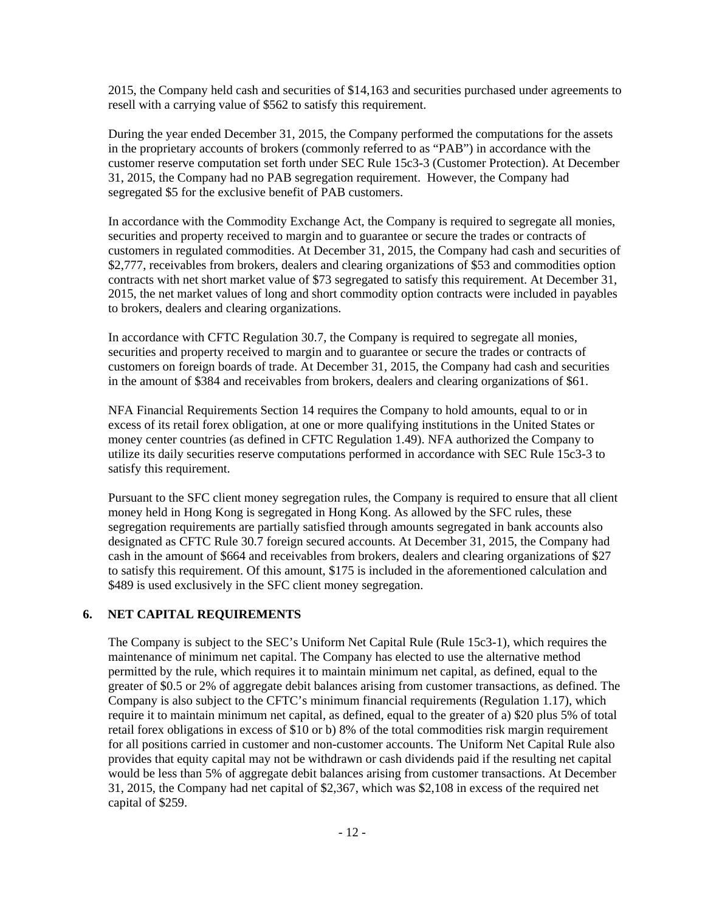2015, the Company held cash and securities of \$14,163 and securities purchased under agreements to resell with a carrying value of \$562 to satisfy this requirement.

During the year ended December 31, 2015, the Company performed the computations for the assets in the proprietary accounts of brokers (commonly referred to as "PAB") in accordance with the customer reserve computation set forth under SEC Rule 15c3-3 (Customer Protection). At December 31, 2015, the Company had no PAB segregation requirement. However, the Company had segregated \$5 for the exclusive benefit of PAB customers.

In accordance with the Commodity Exchange Act, the Company is required to segregate all monies, securities and property received to margin and to guarantee or secure the trades or contracts of customers in regulated commodities. At December 31, 2015, the Company had cash and securities of \$2,777, receivables from brokers, dealers and clearing organizations of \$53 and commodities option contracts with net short market value of \$73 segregated to satisfy this requirement. At December 31, 2015, the net market values of long and short commodity option contracts were included in payables to brokers, dealers and clearing organizations.

In accordance with CFTC Regulation 30.7, the Company is required to segregate all monies, securities and property received to margin and to guarantee or secure the trades or contracts of customers on foreign boards of trade. At December 31, 2015, the Company had cash and securities in the amount of \$384 and receivables from brokers, dealers and clearing organizations of \$61.

NFA Financial Requirements Section 14 requires the Company to hold amounts, equal to or in excess of its retail forex obligation, at one or more qualifying institutions in the United States or money center countries (as defined in CFTC Regulation 1.49). NFA authorized the Company to utilize its daily securities reserve computations performed in accordance with SEC Rule 15c3-3 to satisfy this requirement.

Pursuant to the SFC client money segregation rules, the Company is required to ensure that all client money held in Hong Kong is segregated in Hong Kong. As allowed by the SFC rules, these segregation requirements are partially satisfied through amounts segregated in bank accounts also designated as CFTC Rule 30.7 foreign secured accounts. At December 31, 2015, the Company had cash in the amount of \$664 and receivables from brokers, dealers and clearing organizations of \$27 to satisfy this requirement. Of this amount, \$175 is included in the aforementioned calculation and \$489 is used exclusively in the SFC client money segregation.

### **6. NET CAPITAL REQUIREMENTS**

The Company is subject to the SEC's Uniform Net Capital Rule (Rule 15c3-1), which requires the maintenance of minimum net capital. The Company has elected to use the alternative method permitted by the rule, which requires it to maintain minimum net capital, as defined, equal to the greater of \$0.5 or 2% of aggregate debit balances arising from customer transactions, as defined. The Company is also subject to the CFTC's minimum financial requirements (Regulation 1.17), which require it to maintain minimum net capital, as defined, equal to the greater of a) \$20 plus 5% of total retail forex obligations in excess of \$10 or b) 8% of the total commodities risk margin requirement for all positions carried in customer and non-customer accounts. The Uniform Net Capital Rule also provides that equity capital may not be withdrawn or cash dividends paid if the resulting net capital would be less than 5% of aggregate debit balances arising from customer transactions. At December 31, 2015, the Company had net capital of \$2,367, which was \$2,108 in excess of the required net capital of \$259.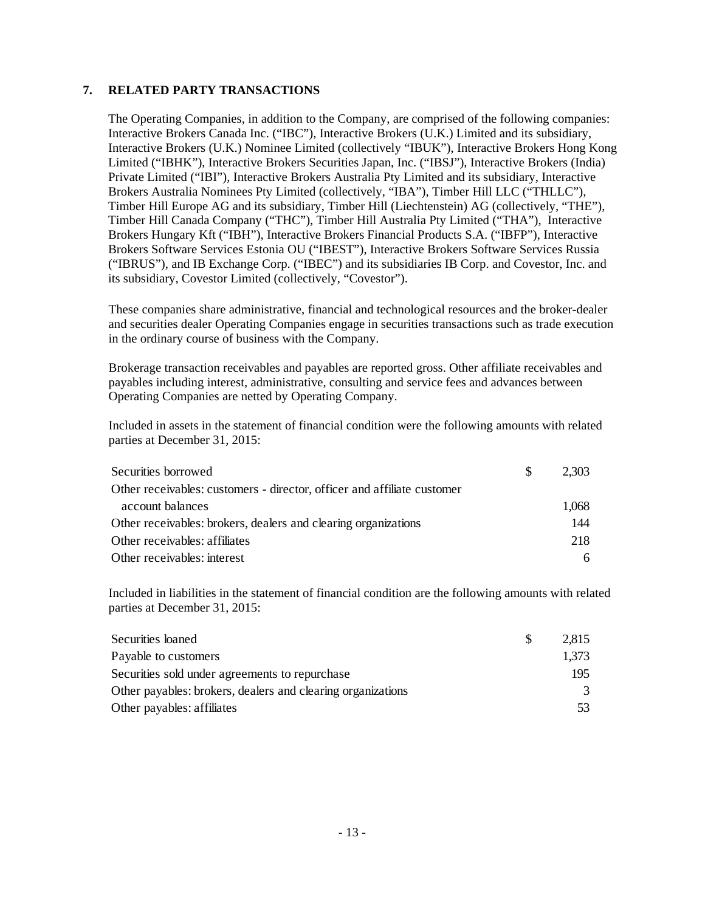### **7. RELATED PARTY TRANSACTIONS**

The Operating Companies, in addition to the Company, are comprised of the following companies: Interactive Brokers Canada Inc. ("IBC"), Interactive Brokers (U.K.) Limited and its subsidiary, Interactive Brokers (U.K.) Nominee Limited (collectively "IBUK"), Interactive Brokers Hong Kong Limited ("IBHK"), Interactive Brokers Securities Japan, Inc. ("IBSJ"), Interactive Brokers (India) Private Limited ("IBI"), Interactive Brokers Australia Pty Limited and its subsidiary, Interactive Brokers Australia Nominees Pty Limited (collectively, "IBA"), Timber Hill LLC ("THLLC"), Timber Hill Europe AG and its subsidiary, Timber Hill (Liechtenstein) AG (collectively, "THE"), Timber Hill Canada Company ("THC"), Timber Hill Australia Pty Limited ("THA"), Interactive Brokers Hungary Kft ("IBH"), Interactive Brokers Financial Products S.A. ("IBFP"), Interactive Brokers Software Services Estonia OU ("IBEST"), Interactive Brokers Software Services Russia ("IBRUS"), and IB Exchange Corp. ("IBEC") and its subsidiaries IB Corp. and Covestor, Inc. and its subsidiary, Covestor Limited (collectively, "Covestor").

These companies share administrative, financial and technological resources and the broker-dealer and securities dealer Operating Companies engage in securities transactions such as trade execution in the ordinary course of business with the Company.

Brokerage transaction receivables and payables are reported gross. Other affiliate receivables and payables including interest, administrative, consulting and service fees and advances between Operating Companies are netted by Operating Company.

Included in assets in the statement of financial condition were the following amounts with related parties at December 31, 2015:

| Securities borrowed                                                     | <sup>S</sup> | 2.303 |
|-------------------------------------------------------------------------|--------------|-------|
| Other receivables: customers - director, officer and affiliate customer |              |       |
| account balances                                                        |              | 1,068 |
| Other receivables: brokers, dealers and clearing organizations          |              | 144   |
| Other receivables: affiliates                                           |              | 218   |
| Other receivables: interest                                             |              | 6     |

Included in liabilities in the statement of financial condition are the following amounts with related parties at December 31, 2015:

| Securities loaned                                           | 2,815 |
|-------------------------------------------------------------|-------|
| Payable to customers                                        | 1,373 |
| Securities sold under agreements to repurchase              | 195   |
| Other payables: brokers, dealers and clearing organizations | 3     |
| Other payables: affiliates                                  | 53    |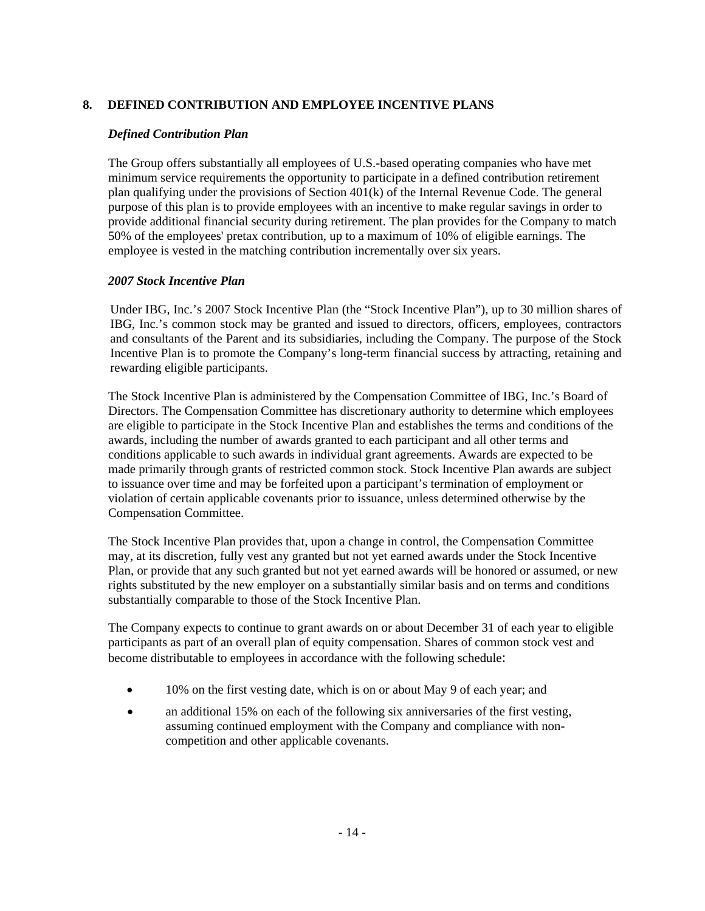## **8. DEFINED CONTRIBUTION AND EMPLOYEE INCENTIVE PLANS**

## *Defined Contribution Plan*

The Group offers substantially all employees of U.S.-based operating companies who have met minimum service requirements the opportunity to participate in a defined contribution retirement plan qualifying under the provisions of Section 401(k) of the Internal Revenue Code. The general purpose of this plan is to provide employees with an incentive to make regular savings in order to provide additional financial security during retirement. The plan provides for the Company to match 50% of the employees' pretax contribution, up to a maximum of 10% of eligible earnings. The employee is vested in the matching contribution incrementally over six years.

## *2007 Stock Incentive Plan*

Under IBG, Inc.'s 2007 Stock Incentive Plan (the "Stock Incentive Plan"), up to 30 million shares of IBG, Inc.'s common stock may be granted and issued to directors, officers, employees, contractors and consultants of the Parent and its subsidiaries, including the Company. The purpose of the Stock Incentive Plan is to promote the Company's long-term financial success by attracting, retaining and rewarding eligible participants.

The Stock Incentive Plan is administered by the Compensation Committee of IBG, Inc.'s Board of Directors. The Compensation Committee has discretionary authority to determine which employees are eligible to participate in the Stock Incentive Plan and establishes the terms and conditions of the awards, including the number of awards granted to each participant and all other terms and conditions applicable to such awards in individual grant agreements. Awards are expected to be made primarily through grants of restricted common stock. Stock Incentive Plan awards are subject to issuance over time and may be forfeited upon a participant's termination of employment or violation of certain applicable covenants prior to issuance, unless determined otherwise by the Compensation Committee.

The Stock Incentive Plan provides that, upon a change in control, the Compensation Committee may, at its discretion, fully vest any granted but not yet earned awards under the Stock Incentive Plan, or provide that any such granted but not yet earned awards will be honored or assumed, or new rights substituted by the new employer on a substantially similar basis and on terms and conditions substantially comparable to those of the Stock Incentive Plan.

The Company expects to continue to grant awards on or about December 31 of each year to eligible participants as part of an overall plan of equity compensation. Shares of common stock vest and become distributable to employees in accordance with the following schedule:

- 10% on the first vesting date, which is on or about May 9 of each year; and
- an additional 15% on each of the following six anniversaries of the first vesting, assuming continued employment with the Company and compliance with noncompetition and other applicable covenants.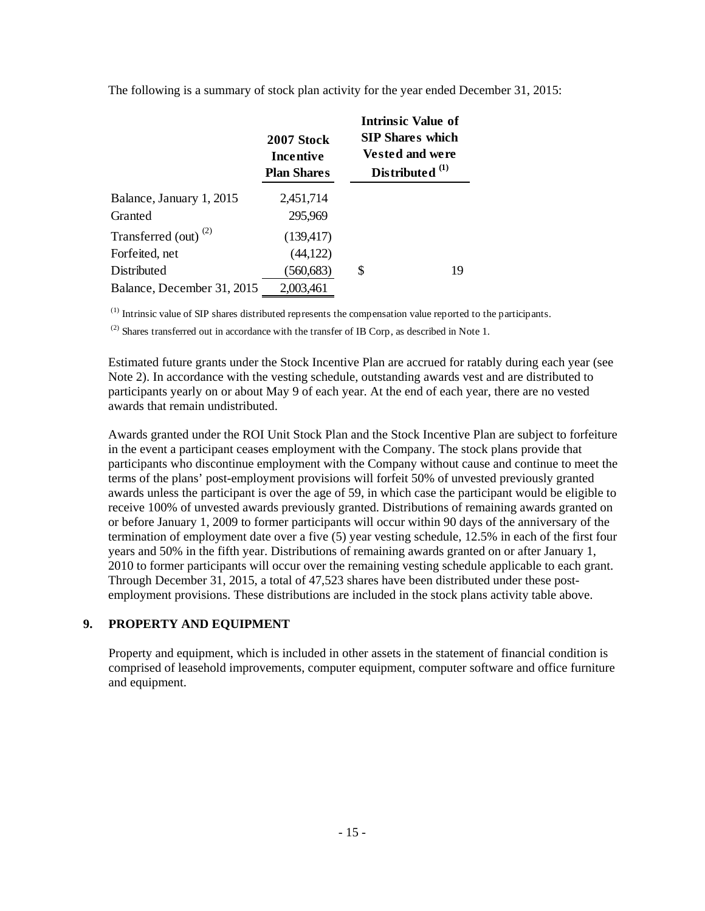|                                  | 2007 Stock<br>Incentive<br><b>Plan Shares</b> |   | <b>Intrinsic Value of</b><br><b>SIP Shares which</b><br><b>Vested and were</b><br>Distributed <sup>(1)</sup> |
|----------------------------------|-----------------------------------------------|---|--------------------------------------------------------------------------------------------------------------|
| Balance, January 1, 2015         | 2,451,714                                     |   |                                                                                                              |
| Granted                          | 295,969                                       |   |                                                                                                              |
| Transferred (out) <sup>(2)</sup> | (139, 417)                                    |   |                                                                                                              |
| Forfeited, net                   | (44, 122)                                     |   |                                                                                                              |
| Distributed                      | (560, 683)                                    | S | 19                                                                                                           |
| Balance, December 31, 2015       | 2,003,461                                     |   |                                                                                                              |

The following is a summary of stock plan activity for the year ended December 31, 2015:

(1) Intrinsic value of SIP shares distributed represents the compensation value reported to the participants.

 $^{(2)}$  Shares transferred out in accordance with the transfer of IB Corp, as described in Note 1.

Estimated future grants under the Stock Incentive Plan are accrued for ratably during each year (see Note 2). In accordance with the vesting schedule, outstanding awards vest and are distributed to participants yearly on or about May 9 of each year. At the end of each year, there are no vested awards that remain undistributed.

Awards granted under the ROI Unit Stock Plan and the Stock Incentive Plan are subject to forfeiture in the event a participant ceases employment with the Company. The stock plans provide that participants who discontinue employment with the Company without cause and continue to meet the terms of the plans' post-employment provisions will forfeit 50% of unvested previously granted awards unless the participant is over the age of 59, in which case the participant would be eligible to receive 100% of unvested awards previously granted. Distributions of remaining awards granted on or before January 1, 2009 to former participants will occur within 90 days of the anniversary of the termination of employment date over a five (5) year vesting schedule, 12.5% in each of the first four years and 50% in the fifth year. Distributions of remaining awards granted on or after January 1, 2010 to former participants will occur over the remaining vesting schedule applicable to each grant. Through December 31, 2015, a total of 47,523 shares have been distributed under these postemployment provisions. These distributions are included in the stock plans activity table above.

## **9. PROPERTY AND EQUIPMENT**

Property and equipment, which is included in other assets in the statement of financial condition is comprised of leasehold improvements, computer equipment, computer software and office furniture and equipment.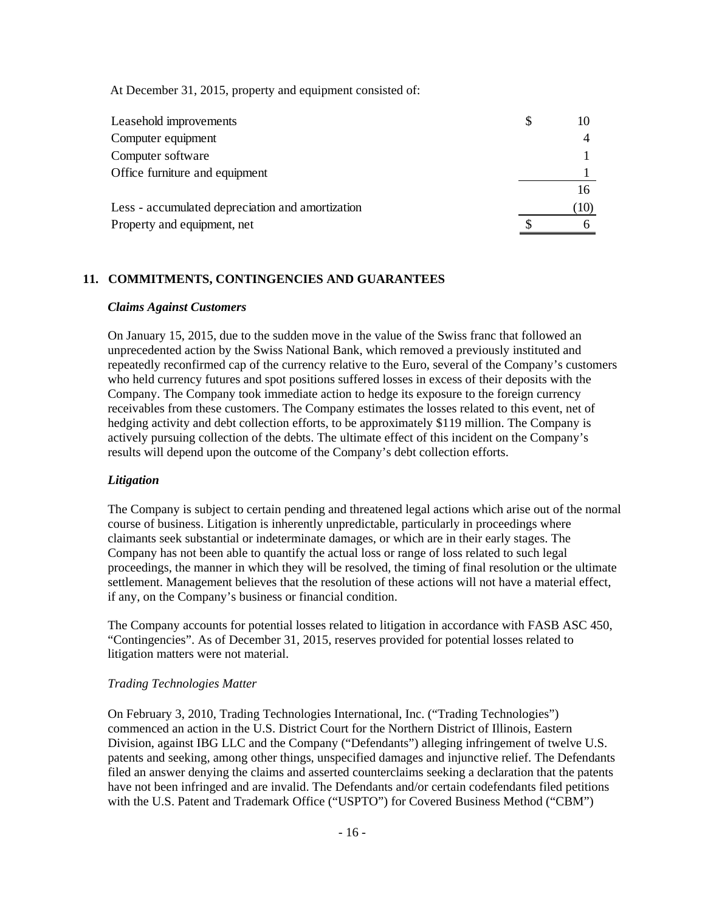At December 31, 2015, property and equipment consisted of:

| Leasehold improvements                           |      |
|--------------------------------------------------|------|
| Computer equipment                               |      |
| Computer software                                |      |
| Office furniture and equipment                   |      |
|                                                  |      |
| Less - accumulated depreciation and amortization | (10) |
| Property and equipment, net                      |      |

## **11. COMMITMENTS, CONTINGENCIES AND GUARANTEES**

#### *Claims Against Customers*

On January 15, 2015, due to the sudden move in the value of the Swiss franc that followed an unprecedented action by the Swiss National Bank, which removed a previously instituted and repeatedly reconfirmed cap of the currency relative to the Euro, several of the Company's customers who held currency futures and spot positions suffered losses in excess of their deposits with the Company. The Company took immediate action to hedge its exposure to the foreign currency receivables from these customers. The Company estimates the losses related to this event, net of hedging activity and debt collection efforts, to be approximately \$119 million. The Company is actively pursuing collection of the debts. The ultimate effect of this incident on the Company's results will depend upon the outcome of the Company's debt collection efforts.

#### *Litigation*

The Company is subject to certain pending and threatened legal actions which arise out of the normal course of business. Litigation is inherently unpredictable, particularly in proceedings where claimants seek substantial or indeterminate damages, or which are in their early stages. The Company has not been able to quantify the actual loss or range of loss related to such legal proceedings, the manner in which they will be resolved, the timing of final resolution or the ultimate settlement. Management believes that the resolution of these actions will not have a material effect, if any, on the Company's business or financial condition.

The Company accounts for potential losses related to litigation in accordance with FASB ASC 450, "Contingencies". As of December 31, 2015, reserves provided for potential losses related to litigation matters were not material.

#### *Trading Technologies Matter*

On February 3, 2010, Trading Technologies International, Inc. ("Trading Technologies") commenced an action in the U.S. District Court for the Northern District of Illinois, Eastern Division, against IBG LLC and the Company ("Defendants") alleging infringement of twelve U.S. patents and seeking, among other things, unspecified damages and injunctive relief. The Defendants filed an answer denying the claims and asserted counterclaims seeking a declaration that the patents have not been infringed and are invalid. The Defendants and/or certain codefendants filed petitions with the U.S. Patent and Trademark Office ("USPTO") for Covered Business Method ("CBM")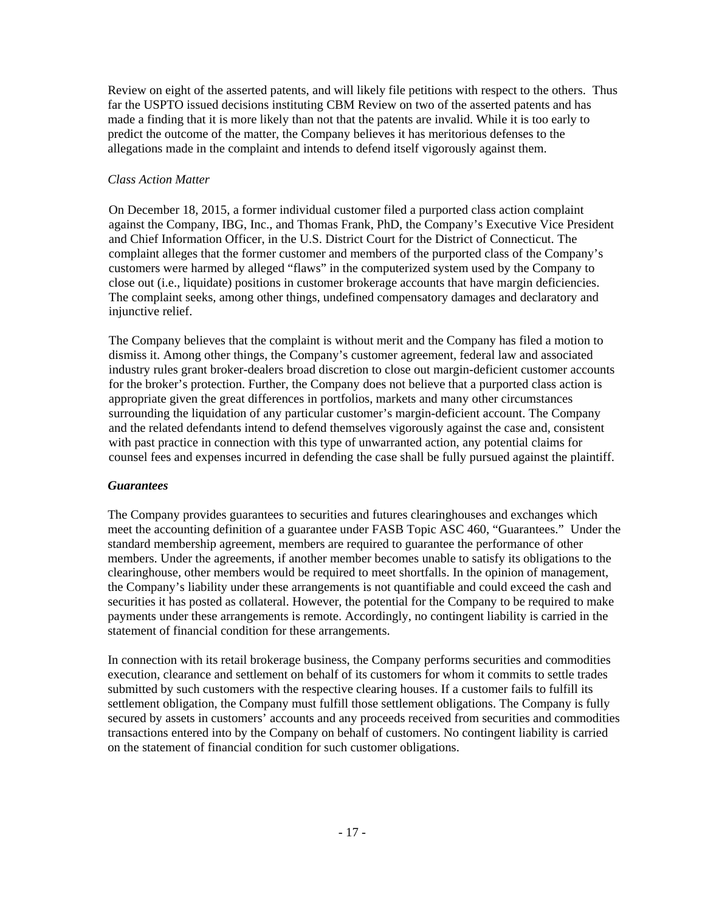Review on eight of the asserted patents, and will likely file petitions with respect to the others. Thus far the USPTO issued decisions instituting CBM Review on two of the asserted patents and has made a finding that it is more likely than not that the patents are invalid. While it is too early to predict the outcome of the matter, the Company believes it has meritorious defenses to the allegations made in the complaint and intends to defend itself vigorously against them.

### *Class Action Matter*

On December 18, 2015, a former individual customer filed a purported class action complaint against the Company, IBG, Inc., and Thomas Frank, PhD, the Company's Executive Vice President and Chief Information Officer, in the U.S. District Court for the District of Connecticut. The complaint alleges that the former customer and members of the purported class of the Company's customers were harmed by alleged "flaws" in the computerized system used by the Company to close out (i.e., liquidate) positions in customer brokerage accounts that have margin deficiencies. The complaint seeks, among other things, undefined compensatory damages and declaratory and injunctive relief.

The Company believes that the complaint is without merit and the Company has filed a motion to dismiss it. Among other things, the Company's customer agreement, federal law and associated industry rules grant broker-dealers broad discretion to close out margin-deficient customer accounts for the broker's protection. Further, the Company does not believe that a purported class action is appropriate given the great differences in portfolios, markets and many other circumstances surrounding the liquidation of any particular customer's margin-deficient account. The Company and the related defendants intend to defend themselves vigorously against the case and, consistent with past practice in connection with this type of unwarranted action, any potential claims for counsel fees and expenses incurred in defending the case shall be fully pursued against the plaintiff.

## *Guarantees*

The Company provides guarantees to securities and futures clearinghouses and exchanges which meet the accounting definition of a guarantee under FASB Topic ASC 460, "Guarantees." Under the standard membership agreement, members are required to guarantee the performance of other members. Under the agreements, if another member becomes unable to satisfy its obligations to the clearinghouse, other members would be required to meet shortfalls. In the opinion of management, the Company's liability under these arrangements is not quantifiable and could exceed the cash and securities it has posted as collateral. However, the potential for the Company to be required to make payments under these arrangements is remote. Accordingly, no contingent liability is carried in the statement of financial condition for these arrangements.

In connection with its retail brokerage business, the Company performs securities and commodities execution, clearance and settlement on behalf of its customers for whom it commits to settle trades submitted by such customers with the respective clearing houses. If a customer fails to fulfill its settlement obligation, the Company must fulfill those settlement obligations. The Company is fully secured by assets in customers' accounts and any proceeds received from securities and commodities transactions entered into by the Company on behalf of customers. No contingent liability is carried on the statement of financial condition for such customer obligations.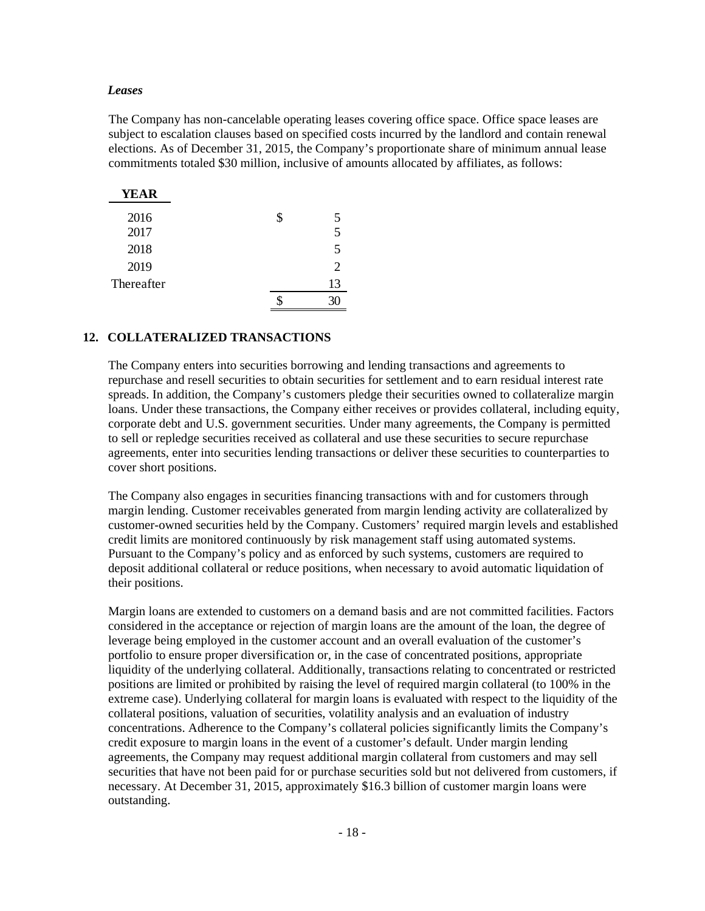#### *Leases*

The Company has non-cancelable operating leases covering office space. Office space leases are subject to escalation clauses based on specified costs incurred by the landlord and contain renewal elections. As of December 31, 2015, the Company's proportionate share of minimum annual lease commitments totaled \$30 million, inclusive of amounts allocated by affiliates, as follows:

| <b>YEAR</b> |                             |
|-------------|-----------------------------|
| 2016        | \$<br>5                     |
| 2017        | 5                           |
| 2018        | $\overline{\mathbf{5}}$     |
| 2019        | $\mathcal{D}_{\mathcal{L}}$ |
| Thereafter  | 13                          |
|             |                             |

#### **12. COLLATERALIZED TRANSACTIONS**

The Company enters into securities borrowing and lending transactions and agreements to repurchase and resell securities to obtain securities for settlement and to earn residual interest rate spreads. In addition, the Company's customers pledge their securities owned to collateralize margin loans. Under these transactions, the Company either receives or provides collateral, including equity, corporate debt and U.S. government securities. Under many agreements, the Company is permitted to sell or repledge securities received as collateral and use these securities to secure repurchase agreements, enter into securities lending transactions or deliver these securities to counterparties to cover short positions.

The Company also engages in securities financing transactions with and for customers through margin lending. Customer receivables generated from margin lending activity are collateralized by customer-owned securities held by the Company. Customers' required margin levels and established credit limits are monitored continuously by risk management staff using automated systems. Pursuant to the Company's policy and as enforced by such systems, customers are required to deposit additional collateral or reduce positions, when necessary to avoid automatic liquidation of their positions.

Margin loans are extended to customers on a demand basis and are not committed facilities. Factors considered in the acceptance or rejection of margin loans are the amount of the loan, the degree of leverage being employed in the customer account and an overall evaluation of the customer's portfolio to ensure proper diversification or, in the case of concentrated positions, appropriate liquidity of the underlying collateral. Additionally, transactions relating to concentrated or restricted positions are limited or prohibited by raising the level of required margin collateral (to 100% in the extreme case). Underlying collateral for margin loans is evaluated with respect to the liquidity of the collateral positions, valuation of securities, volatility analysis and an evaluation of industry concentrations. Adherence to the Company's collateral policies significantly limits the Company's credit exposure to margin loans in the event of a customer's default. Under margin lending agreements, the Company may request additional margin collateral from customers and may sell securities that have not been paid for or purchase securities sold but not delivered from customers, if necessary. At December 31, 2015, approximately \$16.3 billion of customer margin loans were outstanding.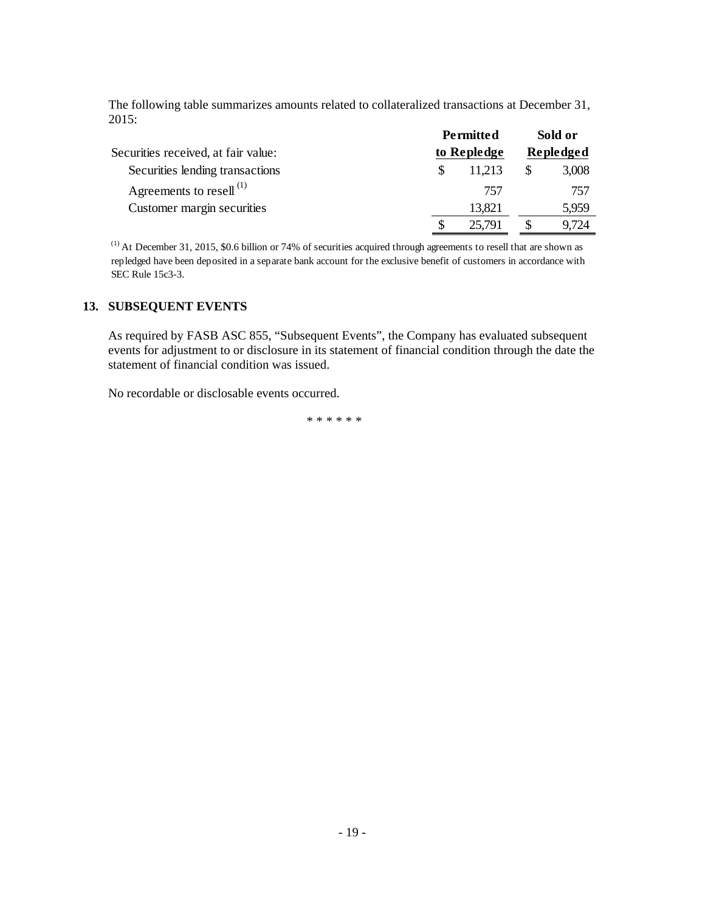The following table summarizes amounts related to collateralized transactions at December 31, 2015: **Permitted Sold of the Sold of Sold** 

|                                     | <b>Permitted</b> | Sold or   |
|-------------------------------------|------------------|-----------|
| Securities received, at fair value: | to Repledge      | Repledged |
| Securities lending transactions     | 11.213           | 3,008     |
| Agreements to resell <sup>(1)</sup> | 757              | 757       |
| Customer margin securities          | 13,821           | 5,959     |
|                                     | 25,791           | 9.724     |

(1) At December 31, 2015, \$0.6 billion or 74% of securities acquired through agreements to resell that are shown as repledged have been deposited in a separate bank account for the exclusive benefit of customers in accordance with SEC Rule 15c3-3.

## **13. SUBSEQUENT EVENTS**

As required by FASB ASC 855, "Subsequent Events", the Company has evaluated subsequent events for adjustment to or disclosure in its statement of financial condition through the date the statement of financial condition was issued.

No recordable or disclosable events occurred.

\*\*\*\*\*\*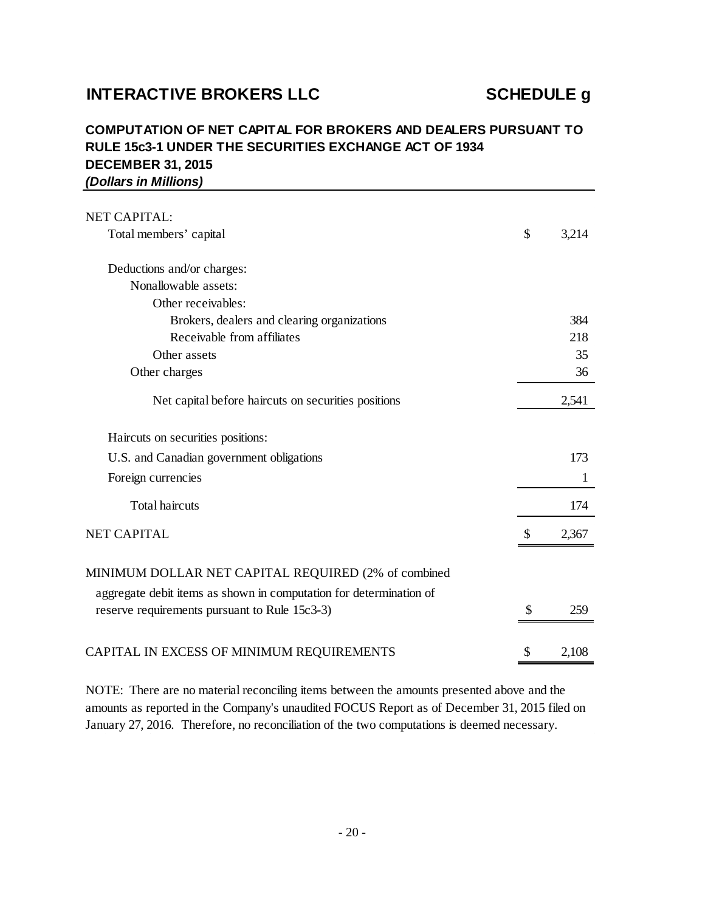## **INTERACTIVE BROKERS LLC SCHEDULE g**

## **DECEMBER 31, 2015** *(Dollars in Millions)* **COMPUTATION OF NET CAPITAL FOR BROKERS AND DEALERS PURSUANT TO RULE 15c3-1 UNDER THE SECURITIES EXCHANGE ACT OF 1934**

| <b>NET CAPITAL:</b>                                                                                                                                                        |    |       |
|----------------------------------------------------------------------------------------------------------------------------------------------------------------------------|----|-------|
| Total members' capital                                                                                                                                                     | \$ | 3,214 |
| Deductions and/or charges:                                                                                                                                                 |    |       |
| Nonallowable assets:                                                                                                                                                       |    |       |
| Other receivables:                                                                                                                                                         |    |       |
| Brokers, dealers and clearing organizations                                                                                                                                |    | 384   |
| Receivable from affiliates                                                                                                                                                 |    | 218   |
| Other assets                                                                                                                                                               |    | 35    |
| Other charges                                                                                                                                                              |    | 36    |
| Net capital before haircuts on securities positions                                                                                                                        |    | 2,541 |
| Haircuts on securities positions:                                                                                                                                          |    |       |
| U.S. and Canadian government obligations                                                                                                                                   |    | 173   |
| Foreign currencies                                                                                                                                                         |    | 1     |
| <b>Total haircuts</b>                                                                                                                                                      |    | 174   |
| <b>NET CAPITAL</b>                                                                                                                                                         | \$ | 2,367 |
| MINIMUM DOLLAR NET CAPITAL REQUIRED (2% of combined<br>aggregate debit items as shown in computation for determination of<br>reserve requirements pursuant to Rule 15c3-3) | S  | 259   |
| CAPITAL IN EXCESS OF MINIMUM REQUIREMENTS                                                                                                                                  | \$ | 2,108 |

NOTE: There are no material reconciling items between the amounts presented above and the amounts as reported in the Company's unaudited FOCUS Report as of December 31, 2015 filed on January 27, 2016. Therefore, no reconciliation of the two computations is deemed necessary.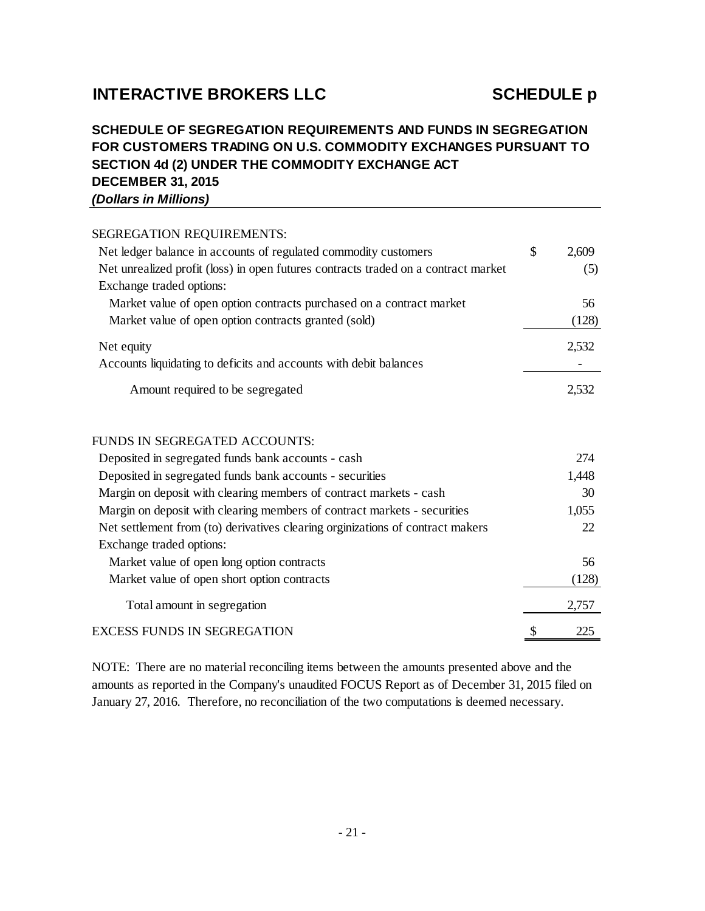# **INTERACTIVE BROKERS LLC SCHEDULE p**

## **DECEMBER 31, 2015** *(Dollars in Millions)* **SCHEDULE OF SEGREGATION REQUIREMENTS AND FUNDS IN SEGREGATION FOR CUSTOMERS TRADING ON U.S. COMMODITY EXCHANGES PURSUANT TO SECTION 4d (2) UNDER THE COMMODITY EXCHANGE ACT**

| SEGREGATION REQUIREMENTS:                                                          |             |
|------------------------------------------------------------------------------------|-------------|
| Net ledger balance in accounts of regulated commodity customers                    | \$<br>2,609 |
| Net unrealized profit (loss) in open futures contracts traded on a contract market | (5)         |
| Exchange traded options:                                                           |             |
| Market value of open option contracts purchased on a contract market               | 56          |
| Market value of open option contracts granted (sold)                               | (128)       |
| Net equity                                                                         | 2,532       |
| Accounts liquidating to deficits and accounts with debit balances                  |             |
| Amount required to be segregated                                                   | 2,532       |
| <b>FUNDS IN SEGREGATED ACCOUNTS:</b>                                               |             |
| Deposited in segregated funds bank accounts - cash                                 | 274         |
| Deposited in segregated funds bank accounts - securities                           | 1,448       |
| Margin on deposit with clearing members of contract markets - cash                 | 30          |
| Margin on deposit with clearing members of contract markets - securities           | 1,055       |
| Net settlement from (to) derivatives clearing orginizations of contract makers     | 22          |
| Exchange traded options:                                                           |             |
| Market value of open long option contracts                                         | 56          |
| Market value of open short option contracts                                        | (128)       |
| Total amount in segregation                                                        | 2,757       |
| <b>EXCESS FUNDS IN SEGREGATION</b>                                                 | \$<br>225   |

NOTE: There are no material reconciling items between the amounts presented above and the amounts as reported in the Company's unaudited FOCUS Report as of December 31, 2015 filed on January 27, 2016. Therefore, no reconciliation of the two computations is deemed necessary.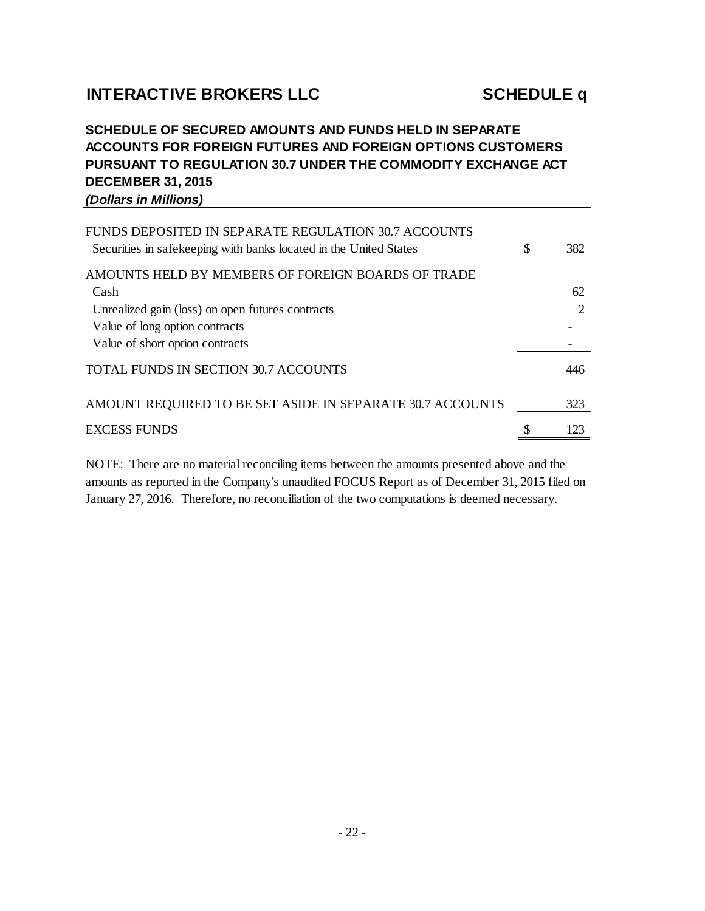# **INTERACTIVE BROKERS LLC SCHEDULE q**

## **DECEMBER 31, 2015** *(Dollars in Millions)* **SCHEDULE OF SECURED AMOUNTS AND FUNDS HELD IN SEPARATE ACCOUNTS FOR FOREIGN FUTURES AND FOREIGN OPTIONS CUSTOMERS PURSUANT TO REGULATION 30.7 UNDER THE COMMODITY EXCHANGE ACT**

| FUNDS DEPOSITED IN SEPARATE REGULATION 30.7 ACCOUNTS<br>Securities in safekeeping with banks located in the United States | \$ | 382                         |
|---------------------------------------------------------------------------------------------------------------------------|----|-----------------------------|
| AMOUNTS HELD BY MEMBERS OF FOREIGN BOARDS OF TRADE                                                                        |    |                             |
| Cash                                                                                                                      |    | 62                          |
| Unrealized gain (loss) on open futures contracts                                                                          |    | $\mathcal{D}_{\mathcal{A}}$ |
| Value of long option contracts                                                                                            |    |                             |
| Value of short option contracts                                                                                           |    |                             |
| TOTAL FUNDS IN SECTION 30.7 ACCOUNTS                                                                                      |    | 446                         |
| AMOUNT REQUIRED TO BE SET ASIDE IN SEPARATE 30.7 ACCOUNTS                                                                 |    | 323                         |
| <b>EXCESS FUNDS</b>                                                                                                       | S  | 123                         |

NOTE: There are no material reconciling items between the amounts presented above and the amounts as reported in the Company's unaudited FOCUS Report as of December 31, 2015 filed on January 27, 2016. Therefore, no reconciliation of the two computations is deemed necessary.